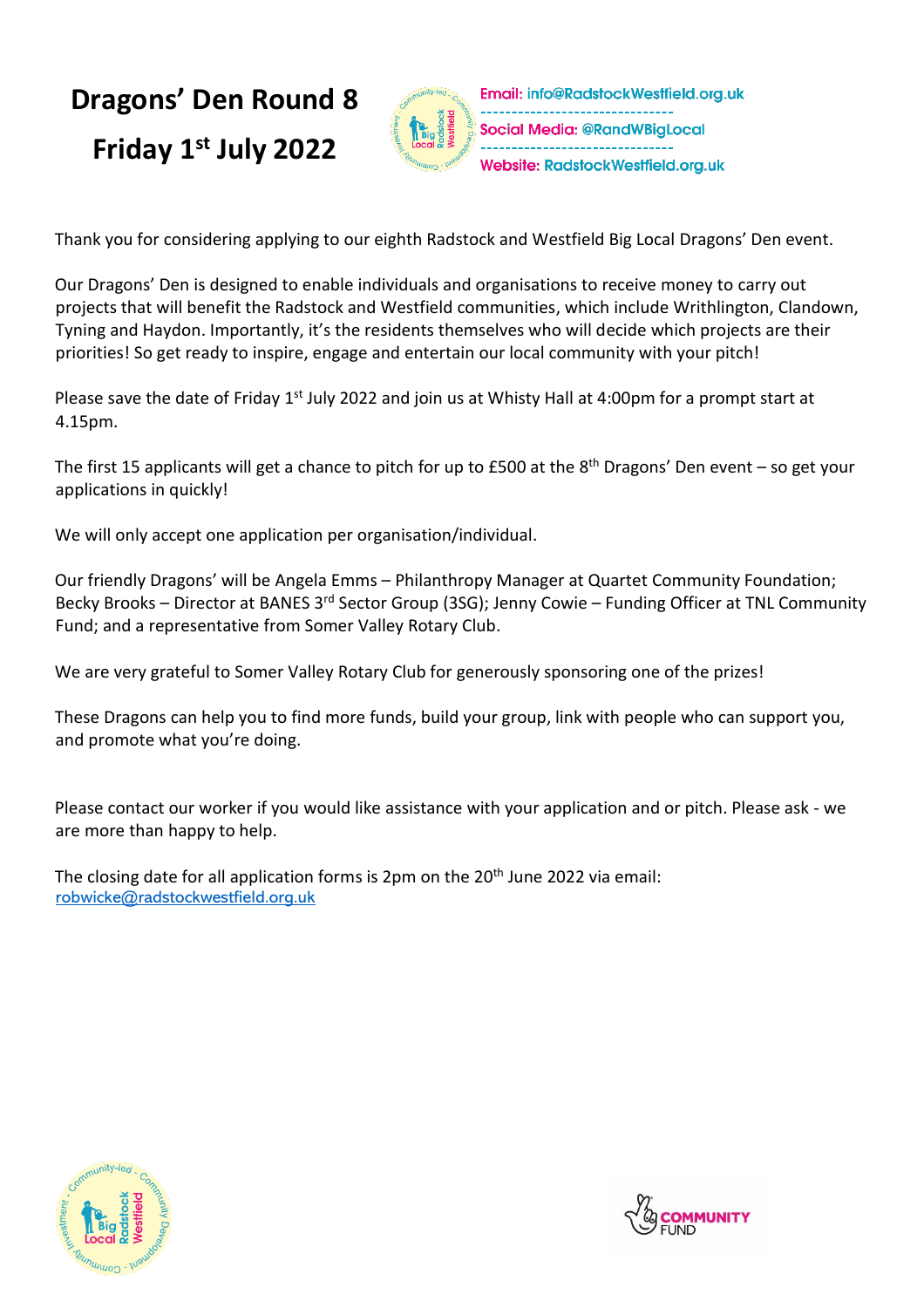#### **Dragons' Den Round 8** Email: info@RadstockWestfield.org.uk Social Media: @RandWBigLocal **Friday 1 st July 2022** Website: RadstockWestfield.org.uk

Thank you for considering applying to our eighth Radstock and Westfield Big Local Dragons' Den event.

Our Dragons' Den is designed to enable individuals and organisations to receive money to carry out projects that will benefit the Radstock and Westfield communities, which include Writhlington, Clandown, Tyning and Haydon. Importantly, it's the residents themselves who will decide which projects are their priorities! So get ready to inspire, engage and entertain our local community with your pitch!

Please save the date of Friday 1<sup>st</sup> July 2022 and join us at Whisty Hall at 4:00pm for a prompt start at 4.15pm.

The first 15 applicants will get a chance to pitch for up to £500 at the 8<sup>th</sup> Dragons' Den event – so get your applications in quickly!

We will only accept one application per organisation/individual.

Our friendly Dragons' will be Angela Emms – Philanthropy Manager at Quartet Community Foundation; Becky Brooks – Director at BANES 3<sup>rd</sup> Sector Group (3SG); Jenny Cowie – Funding Officer at TNL Community Fund; and a representative from Somer Valley Rotary Club.

We are very grateful to Somer Valley Rotary Club for generously sponsoring one of the prizes!

These Dragons can help you to find more funds, build your group, link with people who can support you, and promote what you're doing.

Please contact our worker if you would like assistance with your application and or pitch. Please ask - we are more than happy to help.

The closing date for all application forms is 2pm on the 20<sup>th</sup> June 2022 via email: [robwicke@radstockwestfield.org.uk](mailto:robwicke@radstockwestfield.org.uk)